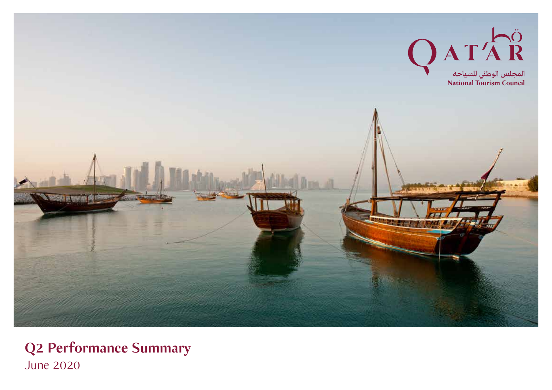

**Q2 Performance Summary** June 2020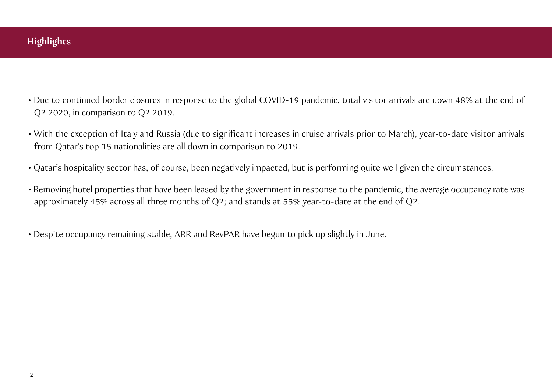- Due to continued border closures in response to the global COVID-19 pandemic, total visitor arrivals are down 48% at the end of Q2 2020, in comparison to Q2 2019.
- With the exception of Italy and Russia (due to significant increases in cruise arrivals prior to March), year-to-date visitor arrivals from Qatar's top 15 nationalities are all down in comparison to 2019.
- Qatar's hospitality sector has, of course, been negatively impacted, but is performing quite well given the circumstances.
- Removing hotel properties that have been leased by the government in response to the pandemic, the average occupancy rate was approximately 45% across all three months of Q2; and stands at 55% year-to-date at the end of Q2.
- Despite occupancy remaining stable, ARR and RevPAR have begun to pick up slightly in June.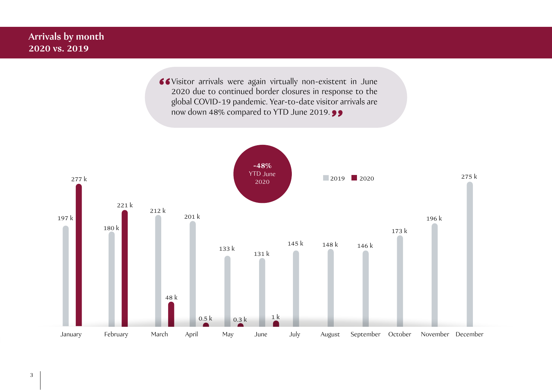## **Arrivals by month 2020 vs. 2019**

Visitor arrivals were again virtually non-existent in June 2020 due to continued border closures in response to the global COVID-19 pandemic. Year-to-date visitor arrivals are now down 48% compared to YTD June 2019.  $\bullet$ 

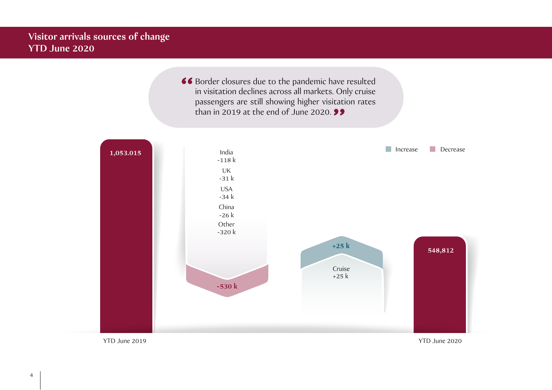## **Visitor arrivals sources of change YTD June 2020**

66 Border closures due to the pandemic have resulted in visitation declines across all markets. Only cruise passengers are still showing higher visitation rates than in 2019 at the end of June 2020. **99** 

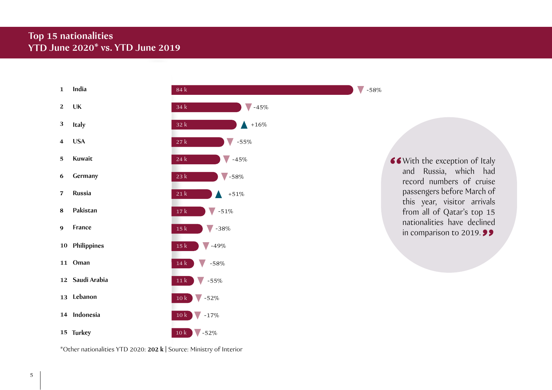## **Top 15 nationalities YTD June 2020\* vs. YTD June 2019**

| $\mathbf{1}$            | India           | 84 k                                       |  |
|-------------------------|-----------------|--------------------------------------------|--|
| $\overline{2}$          | UK              | 34 k<br>$-45%$                             |  |
| $\mathbf{3}$            | Italy           | $+16\%$<br>32k                             |  |
| $\overline{\mathbf{4}}$ | <b>USA</b>      | 27k<br>$-55%$                              |  |
| $\mathbf 5$             | Kuwait          | $\sqrt{}$<br>$-45%$<br>24 k                |  |
| $\boldsymbol{6}$        | Germany         | $\sqrt{-58\%}$<br>23k                      |  |
| 7                       | <b>Russia</b>   | 21k<br>$+51\%$                             |  |
| 8                       | Pakistan        | $-51%$<br>$17\,\mathrm{k}$                 |  |
| $\boldsymbol{9}$        | France          | $-38%$<br>$\sqrt{}$<br>15k                 |  |
|                         | 10 Philippines  | $\blacktriangledown$ -49%<br>$15\;{\rm k}$ |  |
|                         | 11 Oman         | $-58%$<br>$14\ \mathrm{k}$                 |  |
|                         | 12 Saudi Arabia | $11\,\mathrm{k}$<br>$-55%$                 |  |
|                         | 13 Lebanon      | $10\ \mathrm{k}$<br>$-52%$                 |  |
| 14                      | Indonesia       | 10k<br>$-17%$                              |  |
|                         | 15 Turkey       | $\sqrt{-52\%}$<br>10k                      |  |

\*Other nationalities YTD 2020: **202 k |** Source: Ministry of Interior

 $1 - 58%$ 

66 With the exception of Italy and Russia, which had record numbers of cruise passengers before March of this year, visitor arrivals from all of Qatar's top 15 nationalities have declined in comparison to 2019. 99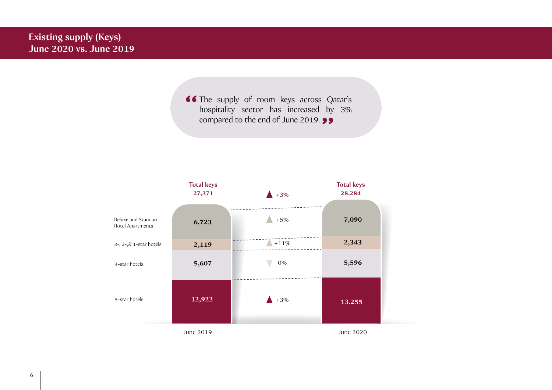66 The supply of room keys across Qatar's hospitality sector has increased by 3% compared to the end of June 2019. 99

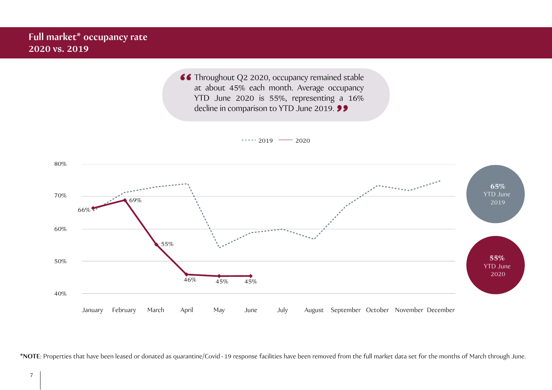66 Throughout Q2 2020, occupancy remained stable at about 45% each month. Average occupancy YTD June 2020 is 55%, representing a 16% decline in comparison to YTD June 2019. **99** 

 $--- 2019$   $--- 2020$ 



**\*NOTE**: Properties that have been leased or donated as quarantine/Covid - 19 response facilities have been removed from the full market data set for the months of March through June.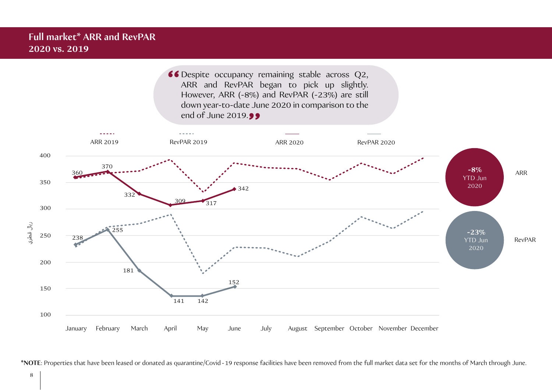

**\*NOTE**: Properties that have been leased or donated as quarantine/Covid - 19 response facilities have been removed from the full market data set for the months of March through June.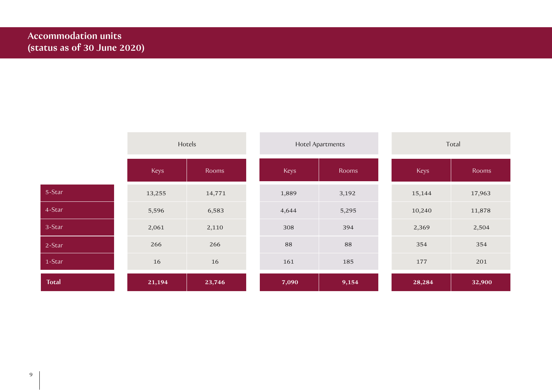|              | Hotels |        | <b>Hotel Apartments</b> |       | Total  |        |
|--------------|--------|--------|-------------------------|-------|--------|--------|
|              | Keys   | Rooms  | Keys                    | Rooms | Keys   | Rooms  |
| 5-Star       | 13,255 | 14,771 | 1,889                   | 3,192 | 15,144 | 17,963 |
| 4-Star       | 5,596  | 6,583  | 4,644                   | 5,295 | 10,240 | 11,878 |
| 3-Star       | 2,061  | 2,110  | 308                     | 394   | 2,369  | 2,504  |
| 2-Star       | 266    | 266    | 88                      | 88    | 354    | 354    |
| 1-Star       | 16     | 16     | 161                     | 185   | 177    | 201    |
| <b>Total</b> | 21,194 | 23,746 | 7,090                   | 9,154 | 28,284 | 32,900 |